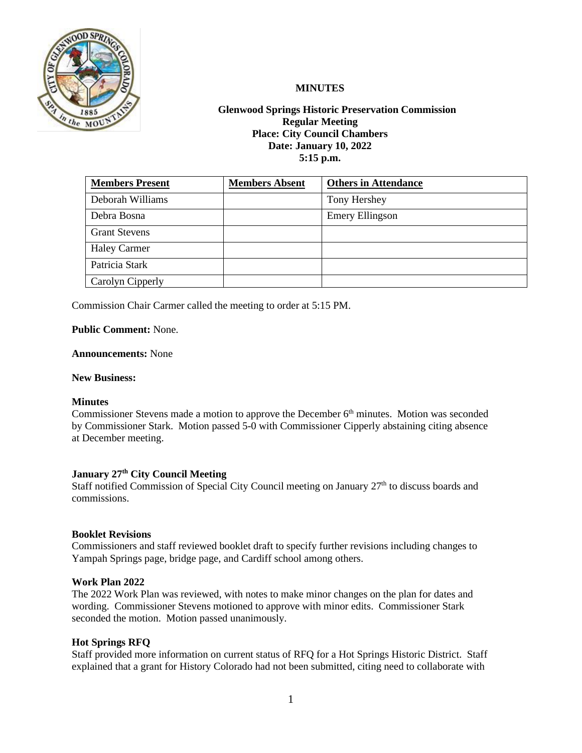

# **MINUTES**

# **Glenwood Springs Historic Preservation Commission Regular Meeting Place: City Council Chambers Date: January 10, 2022 5:15 p.m.**

| <b>Members Present</b> | <b>Members Absent</b> | <b>Others in Attendance</b> |
|------------------------|-----------------------|-----------------------------|
| Deborah Williams       |                       | Tony Hershey                |
| Debra Bosna            |                       | <b>Emery Ellingson</b>      |
| <b>Grant Stevens</b>   |                       |                             |
| <b>Haley Carmer</b>    |                       |                             |
| Patricia Stark         |                       |                             |
| Carolyn Cipperly       |                       |                             |

Commission Chair Carmer called the meeting to order at 5:15 PM.

**Public Comment:** None.

### **Announcements:** None

### **New Business:**

### **Minutes**

Commissioner Stevens made a motion to approve the December 6<sup>th</sup> minutes. Motion was seconded by Commissioner Stark. Motion passed 5-0 with Commissioner Cipperly abstaining citing absence at December meeting.

# **January 27th City Council Meeting**

Staff notified Commission of Special City Council meeting on January 27<sup>th</sup> to discuss boards and commissions.

#### **Booklet Revisions**

Commissioners and staff reviewed booklet draft to specify further revisions including changes to Yampah Springs page, bridge page, and Cardiff school among others.

#### **Work Plan 2022**

The 2022 Work Plan was reviewed, with notes to make minor changes on the plan for dates and wording. Commissioner Stevens motioned to approve with minor edits. Commissioner Stark seconded the motion. Motion passed unanimously.

### **Hot Springs RFQ**

Staff provided more information on current status of RFQ for a Hot Springs Historic District. Staff explained that a grant for History Colorado had not been submitted, citing need to collaborate with